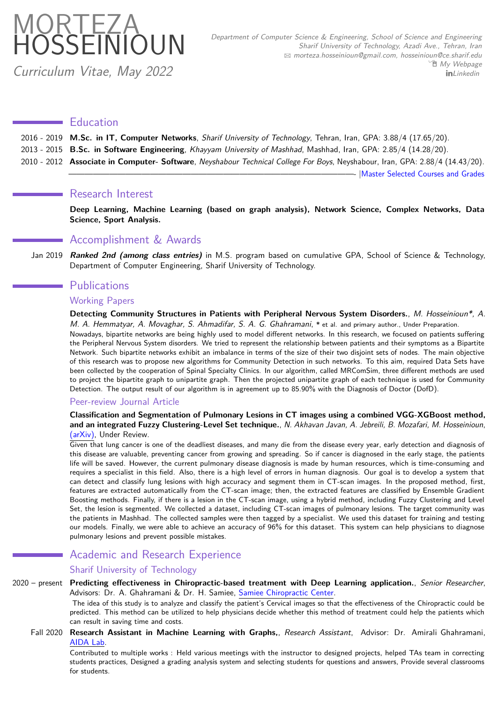# <span id="page-0-0"></span>**MORTEZA** HOSSEINIOUN

Curriculum Vitae, May 2022

# **Education**

| 2016 - 2019 M.Sc. in IT, Computer Networks, Sharif University of Technology, Tehran, Iran, GPA: 3.88/4 (17.65/20). |  |  |  |
|--------------------------------------------------------------------------------------------------------------------|--|--|--|
|--------------------------------------------------------------------------------------------------------------------|--|--|--|

- 2013 2015 **B.Sc. in Software Engineering**, Khayyam University of Mashhad, Mashhad, Iran, GPA: 2.85/4 (14.28/20).
- 2010 2012 **Associate in Computer- Software**, Neyshabour Technical College For Boys, Neyshabour, Iran, GPA: 2.88/4 (14.43/20).

— IMaster Selected Courses and Grades

# Research Interest

**Deep Learning, Machine Learning (based on graph analysis), Network Science, Complex Networks, Data Science, Sport Analysis.**

# Accomplishment & Awards

Jan 2019 **Ranked 2nd (among class entries)** in M.S. program based on cumulative GPA, School of Science & Technology, Department of Computer Engineering, Sharif University of Technology.

# **Publications**

# Working Papers

**Detecting Community Structures in Patients with Peripheral Nervous System Disorders.**, M. Hosseinioun\*, A. M. A. Hemmatyar, A. Movaghar, S. Ahmadifar, S. A. G. Ghahramani, **\*** et al. and primary author., Under Preparation.

Nowadays, bipartite networks are being highly used to model different networks. In this research, we focused on patients suffering the Peripheral Nervous System disorders. We tried to represent the relationship between patients and their symptoms as a Bipartite Network. Such bipartite networks exhibit an imbalance in terms of the size of their two disjoint sets of nodes. The main objective of this research was to propose new algorithms for Community Detection in such networks. To this aim, required Data Sets have been collected by the cooperation of Spinal Specialty Clinics. In our algorithm, called MRComSim, three different methods are used to project the bipartite graph to unipartite graph. Then the projected unipartite graph of each technique is used for Community Detection. The output result of our algorithm is in agreement up to 85.90% with the Diagnosis of Doctor (DofD).

# Peer-review Journal Article

## **Classification and Segmentation of Pulmonary Lesions in CT images using a combined VGG-XGBoost method, and an integrated Fuzzy Clustering-Level Set technique.**, N. Akhavan Javan, A. Jebreili, B. Mozafari, M. Hosseinioun, [\(arXiv\),](https://arxiv.org/abs/2101.00948) Under Review.

Given that lung cancer is one of the deadliest diseases, and many die from the disease every year, early detection and diagnosis of this disease are valuable, preventing cancer from growing and spreading. So if cancer is diagnosed in the early stage, the patients life will be saved. However, the current pulmonary disease diagnosis is made by human resources, which is time-consuming and requires a specialist in this field. Also, there is a high level of errors in human diagnosis. Our goal is to develop a system that can detect and classify lung lesions with high accuracy and segment them in CT-scan images. In the proposed method, first, features are extracted automatically from the CT-scan image; then, the extracted features are classified by Ensemble Gradient Boosting methods. Finally, if there is a lesion in the CT-scan image, using a hybrid method, including Fuzzy Clustering and Level Set, the lesion is segmented. We collected a dataset, including CT-scan images of pulmonary lesions. The target community was the patients in Mashhad. The collected samples were then tagged by a specialist. We used this dataset for training and testing our models. Finally, we were able to achieve an accuracy of 96% for this dataset. This system can help physicians to diagnose pulmonary lesions and prevent possible mistakes.

# Academic and Research Experience

## Sharif University of Technology

## 2020 – present **Predicting effectiveness in Chiropractic-based treatment with Deep Learning application.**, Senior Researcher, Advisors: Dr. A. Ghahramani & Dr. H. Samiee, [Samiee Chiropractic Center.](http://samieechiropractic.com/doctor_en.php)

The idea of this study is to analyze and classify the patient's Cervical images so that the effectiveness of the Chiropractic could be predicted. This method can be utilized to help physicians decide whether this method of treatment could help the patients which can result in saving time and costs.

Fall 2020 **Research Assistant in Machine Learning with Graphs,**, Research Assistant, Advisor: Dr. Amirali Ghahramani, [AIDA Lab.](https://www.aaghahramani.com/News?id=8)

Contributed to multiple works : Held various meetings with the instructor to designed projects, helped TAs team in correcting students practices, Designed a grading analysis system and selecting students for questions and answers, Provide several classrooms for students.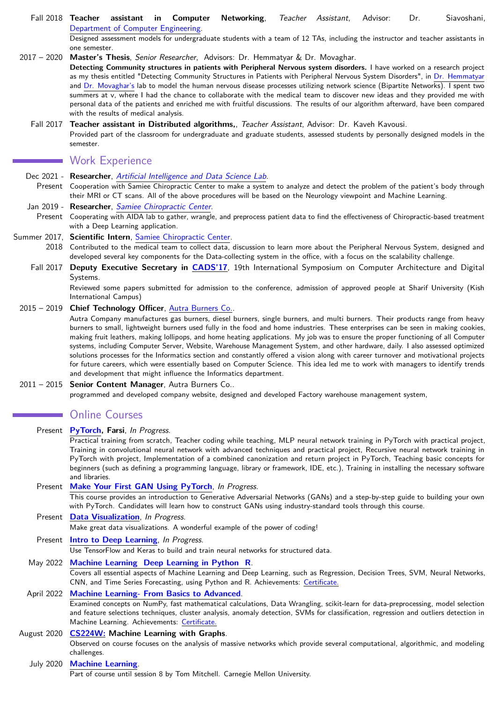Fall 2018 **Teacher assistant in Computer Networking**, Teacher Assistant, Advisor: Dr. Siavoshani, [Department of Computer Engineering.](http://ce.sharif.edu/)

Designed assessment models for undergraduate students with a team of 12 TAs, including the instructor and teacher assistants in one semester.

2017 – 2020 **Master's Thesis**, Senior Researcher, Advisors: Dr. Hemmatyar & Dr. Movaghar.

**Detecting Community structures in patients with Peripheral Nervous system disorders.** I have worked on a research project as my thesis entitled "Detecting Community Structures in Patients with Peripheral Nervous System Disorders", in [Dr. Hemmatyar](http://sharif.edu/~hemmatyar/) and [Dr. Movaghar's](http://sharif.edu/~movaghar/) lab to model the human nervous disease processes utilizing network science (Bipartite Networks). I spent two summers at v, where I had the chance to collaborate with the medical team to discover new ideas and they provided me with personal data of the patients and enriched me with fruitful discussions. The results of our algorithm afterward, have been compared with the results of medical analysis.

Fall 2017 **Teacher assistant in Distributed algorithms,**, Teacher Assistant, Advisor: Dr. Kaveh Kavousi. Provided part of the classroom for undergraduate and graduate students, assessed students by personally designed models in the semester.

# Work Experience

- Dec 2021 Researcher, [Artificial Intelligence and Data Science Lab](http://www.aaghahramani.com/).
- Present Cooperation with Samiee Chiropractic Center to make a system to analyze and detect the problem of the patient's body through their MRI or CT scans. All of the above procedures will be based on the Neurology viewpoint and Machine Learning.

#### Jan 2019 - **Researcher**, [Samiee Chiropractic Center](http://samieechiropractic.com/doctor_en.php).

Present Cooperating with AIDA lab to gather, wrangle, and preprocess patient data to find the effectiveness of Chiropractic-based treatment with a Deep Learning application.

#### Summer 2017, **Scientific Intern**, [Samiee Chiropractic Center.](http://samieechiropractic.com/doctor_en.php)

- 2018 Contributed to the medical team to collect data, discussion to learn more about the Peripheral Nervous System, designed and developed several key components for the Data-collecting system in the office, with a focus on the scalability challenge.
- Fall 2017 **Deputy Executive Secretary in [CADS'17](http://cads17.iust.ac.ir/)**, 19th International Symposium on Computer Architecture and Digital Systems.

Reviewed some papers submitted for admission to the conference, admission of approved people at Sharif University (Kish International Campus)

#### 2015 – 2019 **Chief Technology Officer**, [Autra Burners Co..](http://autra-burners.com/home_en.html)

Autra Company manufactures gas burners, diesel burners, single burners, and multi burners. Their products range from heavy burners to small, lightweight burners used fully in the food and home industries. These enterprises can be seen in making cookies, making fruit leathers, making lollipops, and home heating applications. My job was to ensure the proper functioning of all Computer systems, including Computer Server, Website, Warehouse Management System, and other hardware, daily. I also assessed optimized solutions processes for the Informatics section and constantly offered a vision along with career turnover and motivational projects for future careers, which were essentially based on Computer Science. This idea led me to work with managers to identify trends and development that might influence the Informatics department.

#### 2011 – 2015 **Senior Content Manager**, Autra Burners Co..

programmed and developed company website, designed and developed Factory warehouse management system,

# **Online Courses**

- Present **[PyTorch,](https://howsam.org/downloads/pytorch-course/) Farsi**, In Progress. Practical training from scratch, Teacher coding while teaching, MLP neural network training in PyTorch with practical project, Training in convolutional neural network with advanced techniques and practical project, Recursive neural network training in PyTorch with project, Implementation of a combined canonization and return project in PyTorch, Teaching basic concepts for beginners (such as defining a programming language, library or framework, IDE, etc.), Training in installing the necessary software and libraries. Present **[Make Your First GAN Using PyTorch](https://www.educative.io/courses/make-your-first-gan-pytorch)**, In Progress. This course provides an introduction to Generative Adversarial Networks (GANs) and a step-by-step guide to building your own with PyTorch. Candidates will learn how to construct GANs using industry-standard tools through this course. Present **[Data Visualization](https://www.kaggle.com/learn/data-visualization)**, In Progress. Make great data visualizations. A wonderful example of the power of coding! Present **[Intro to Deep Learning](https://www.kaggle.com/learn/intro-to-deep-learning)**, In Progress. Use TensorFlow and Keras to build and train neural networks for structured data. May 2022 **[Machine Learning Deep Learning in Python R](https://www.udemy.com/course/data_science_a_to_z/)**. Covers all essential aspects of Machine Learning and Deep Learning, such as Regression, Decision Trees, SVM, Neural Networks, CNN, and Time Series Forecasting, using Python and R. Achievements: [Certificate.](https://www.udemy.com/certificate/UC-4ef00084-1b2d-4f7a-bd31-eb696df7231c/?utm_source=sendgrid.com&utm_medium=email&utm_campaign=email) April 2022 **[Machine Learning- From Basics to Advanced](https://www.udemy.com/course/step-by-step-guide-to-machine-learning-course/?utm_source=sendgrid.com&utm_medium=email&utm_campaign=email)**. Examined concepts on NumPy, fast mathematical calculations, Data Wrangling, scikit-learn for data-preprocessing, model selection and feature selections techniques, cluster analysis, anomaly detection, SVMs for classification, regression and outliers detection in Machine Learning. Achievements: [Certificate.](https://www.udemy.com/certificate/UC-9fd4f135-e963-4f43-af7b-eb0280657258/?utm_medium=email&utm_campaign=email&utm_source=sendgrid.com) August 2020 **[CS224W:](http://web.stanford.edu/class/cs224w/) Machine Learning with Graphs**. Observed on course focuses on the analysis of massive networks which provide several computational, algorithmic, and modeling challenges. July 2020 **[Machine Learning](http://www.cs.cmu.edu/~ninamf/courses/601sp15/lectures.shtml)**.
	- Part of course until session 8 by Tom Mitchell. Carnegie Mellon University.